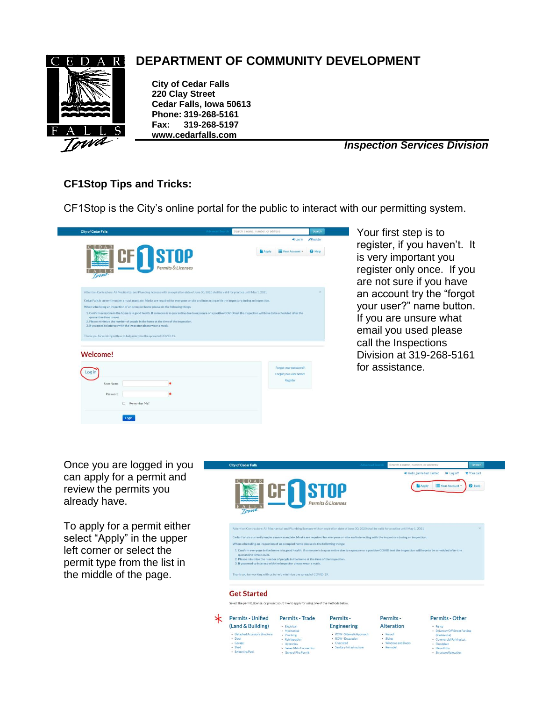

## **DEPARTMENT OF COMMUNITY DEVELOPMENT**

**City of Cedar Falls 220 Clay Street Cedar Falls, Iowa 50613 Phone: 319-268-5161 Fax: 319-268-5197 www.cedarfalls.com**

*Inspection Services Division*

## **CF1Stop Tips and Tricks:**

CF1Stop is the City's online portal for the public to interact with our permitting system.

|                                                                                                                                                         | + Log in<br>Register                          |
|---------------------------------------------------------------------------------------------------------------------------------------------------------|-----------------------------------------------|
| <b>STOP</b>                                                                                                                                             | Your Account<br><b>Apply</b><br><b>Q</b> Help |
|                                                                                                                                                         |                                               |
| Permits & Licenses                                                                                                                                      |                                               |
|                                                                                                                                                         |                                               |
| Attention Contractors: All Mechanical and Plumbing ficenses with an expiration date of June 30, 2020 shall be valid for practice until May 1, 2021      | $\mathbf{x}$                                  |
| Cedar Falls is currently under a mask mandate. Masks are required for everyone on site and interacting with the inspectors during an inspection.        |                                               |
| When scheduling an inspection of an occupied home please do the following things:                                                                       |                                               |
| 2. Please minimize the number of people in the home at the time of the inspection.<br>3. If you need to interact with the inspector please wear a mask. |                                               |
|                                                                                                                                                         |                                               |
|                                                                                                                                                         | Forgot your password?                         |
| Log in                                                                                                                                                  | Forgot your user name?<br>Register            |
| Thank you for working with us to help minimize the spread of COVID-19.<br><b>Welcome!</b><br>User Name                                                  |                                               |
| Password                                                                                                                                                |                                               |
| Remember Me?<br>п                                                                                                                                       |                                               |

Your first step is to register, if you haven't. It is very important you register only once. If you are not sure if you have an account try the "forgot your user?" name button. If you are unsure what email you used please call the Inspections Division at 319-268-5161 for assistance.

al Parking Lot

Once you are logged in you can apply for a permit and review the permits you already have.

To apply for a permit either select "Apply" in the upper left corner or select the permit type from the list in the middle of the page.

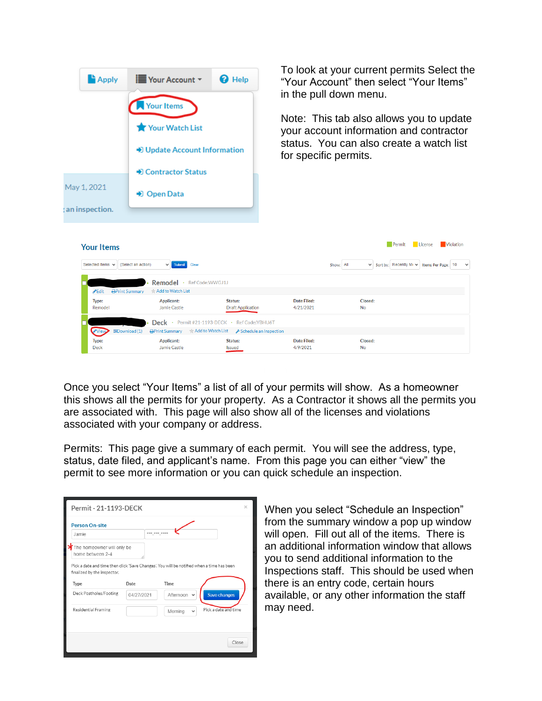| <b>Apply</b>                               | <b>E</b> Your Account ▼<br>Your Items<br>Your Watch List<br>→ Update Account Information<br>• Contractor Status | <b>O</b> Help                                                                                | for specific permits.    | To look at your current permits Select the<br>"Your Account" then select "Your Items"<br>in the pull down menu.<br>Note: This tab also allows you to update<br>your account information and contractor<br>status. You can also create a watch list |                  |
|--------------------------------------------|-----------------------------------------------------------------------------------------------------------------|----------------------------------------------------------------------------------------------|--------------------------|----------------------------------------------------------------------------------------------------------------------------------------------------------------------------------------------------------------------------------------------------|------------------|
| May 1, 2021<br>an inspection.              | → Open Data                                                                                                     |                                                                                              |                          |                                                                                                                                                                                                                                                    |                  |
| <b>Your Items</b><br>Selected Items $\sim$ | (Select an action)<br>Submit<br>Clear<br>Remodel · Ref Code:WWGJ1J                                              |                                                                                              |                          | Permit<br>License<br>Sort by: Recently Mi v Items Per Page: 10<br>Show: All                                                                                                                                                                        | <b>Violation</b> |
| <b>∕</b> Edit<br>Type:<br>Remodel          | Add to Watch List<br><b>APrint Summary</b><br>Applicant:<br>Jamie Castle                                        | Status:<br><b>Draft Application</b>                                                          | Date Filed:<br>4/21/2021 | Closed:<br><b>No</b>                                                                                                                                                                                                                               |                  |
| View<br>Type:<br>Deck                      | 图Download (1)<br>* Add to Watch List<br><b>APrint Summary</b><br>Applicant:<br>Jamie Castle                     | Deck · Permit #21-1193-DECK · Ref Code:YBHU6T<br>Schedule an Inspection<br>Status:<br>Issued | Date Filed:<br>4/9/2021  | Closed:<br><b>No</b>                                                                                                                                                                                                                               |                  |

Once you select "Your Items" a list of all of your permits will show. As a homeowner this shows all the permits for your property. As a Contractor it shows all the permits you are associated with. This page will also show all of the licenses and violations associated with your company or address.

Permits: This page give a summary of each permit. You will see the address, type, status, date filed, and applicant's name. From this page you can either "view" the permit to see more information or you can quick schedule an inspection.

| Permit - 21-1193-DECK                                                                                                    |            |              |                  |              | $\times$             |
|--------------------------------------------------------------------------------------------------------------------------|------------|--------------|------------------|--------------|----------------------|
| <b>Person On-site</b>                                                                                                    |            |              |                  |              |                      |
| Jamie                                                                                                                    |            | *** *** **** |                  |              |                      |
| The homeowner will only be<br>home between 2-4                                                                           |            |              |                  |              |                      |
| Pick a date and time then click 'Save Changes'. You will be notified when a time has been<br>finalized by the inspector. |            |              |                  |              |                      |
| Type                                                                                                                     | Date       |              | Time             |              |                      |
| Deck Postholes/Footing                                                                                                   | 04/27/2021 |              | Afternoon $\sim$ |              | Save changes         |
| Residential Framing                                                                                                      |            |              | Morning          | $\checkmark$ | Pick a date and time |
|                                                                                                                          |            |              |                  |              |                      |
|                                                                                                                          |            |              |                  |              | Close                |

When you select "Schedule an Inspection" from the summary window a pop up window will open. Fill out all of the items. There is an additional information window that allows you to send additional information to the Inspections staff. This should be used when there is an entry code, certain hours available, or any other information the staff may need.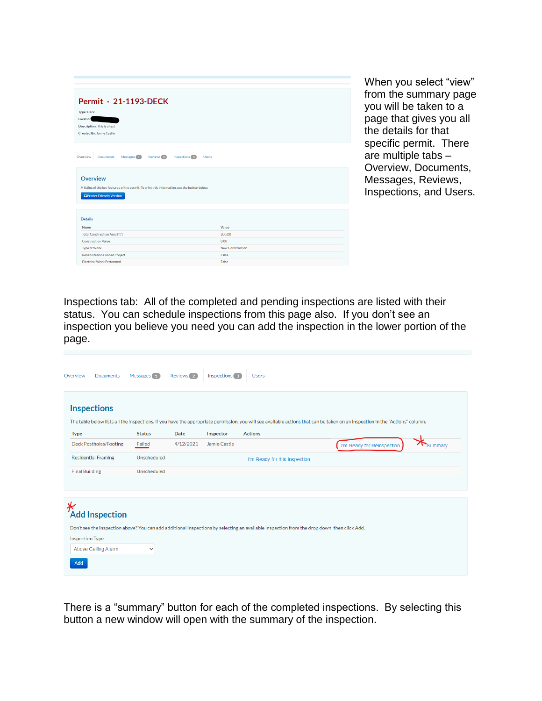| Permit · 21-1193-DECK                                                                                                       |                  |
|-----------------------------------------------------------------------------------------------------------------------------|------------------|
| <b>Type: Deck</b>                                                                                                           |                  |
| Location                                                                                                                    |                  |
| Description: This is a test                                                                                                 |                  |
| <b>Created By: Jamie Castle</b>                                                                                             |                  |
|                                                                                                                             |                  |
| Overview<br>Reviews <sup>2</sup><br>Inspections <sup>3</sup><br><b>Documents</b><br>Messages <sup>(1)</sup><br><b>Users</b> |                  |
| <b>Overview</b>                                                                                                             |                  |
| A listing of the key features of the permit. To print this information, use the button below.                               |                  |
| <b>APrinter Friendly Version</b>                                                                                            |                  |
|                                                                                                                             |                  |
|                                                                                                                             |                  |
| <b>Details</b>                                                                                                              |                  |
| Name                                                                                                                        | Value            |
| Total Construction Area (ft <sup>2</sup> )                                                                                  | 200.00           |
| <b>Construction Value</b>                                                                                                   | 0.00             |
| <b>Type of Work</b>                                                                                                         | New Construction |
| <b>Rehabilitation Funded Project</b>                                                                                        | False            |
| <b>Electrical Work Performed</b>                                                                                            | False            |

When you select "view" from the summary page you will be taken to a page that gives you all the details for that specific permit. There are multiple tabs – Overview, Documents, Messages, Reviews, Inspections, and Users.

Inspections tab: All of the completed and pending inspections are listed with their status. You can schedule inspections from this page also. If you don't see an inspection you believe you need you can add the inspection in the lower portion of the page.

| Overview<br><b>Documents</b> | Messages 1    | Reviews <sub>2</sub> | Inspections 3 | <b>Users</b>                                                                                                                                                                  |
|------------------------------|---------------|----------------------|---------------|-------------------------------------------------------------------------------------------------------------------------------------------------------------------------------|
| <b>Inspections</b>           |               |                      |               |                                                                                                                                                                               |
|                              |               |                      |               | The table below lists all the inspections. If you have the appropriate permission, you will see available actions that can be taken on an inspection in the "Actions" column. |
| <b>Type</b>                  | <b>Status</b> | Date                 | Inspector     | <b>Actions</b>                                                                                                                                                                |
| Deck Postholes/Footing       | Failed        | 4/12/2021            | Jamie Castle  | I'm Ready for Reinspection<br><b>Summary</b>                                                                                                                                  |
| <b>Residential Framing</b>   | Unscheduled   |                      |               | I'm Ready for this Inspection                                                                                                                                                 |
| <b>Final Building</b>        | Unscheduled   |                      |               |                                                                                                                                                                               |
|                              |               |                      |               |                                                                                                                                                                               |
| ∗<br><b>Add Inspection</b>   |               |                      |               |                                                                                                                                                                               |
|                              |               |                      |               | Don't see the inspection above? You can add additional inspections by selecting an available inspection from the drop down, then click Add.                                   |
| <b>Inspection Type</b>       |               |                      |               |                                                                                                                                                                               |
| Above Ceiling Alarm          | $\checkmark$  |                      |               |                                                                                                                                                                               |
| Add                          |               |                      |               |                                                                                                                                                                               |
|                              |               |                      |               |                                                                                                                                                                               |

There is a "summary" button for each of the completed inspections. By selecting this button a new window will open with the summary of the inspection.